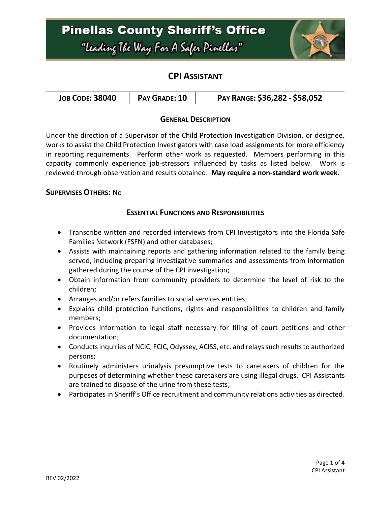### **Pinellas County Sheriff's Office** "Leading The Way For A Safer Pinellar"



### **CPI ASSISTANT**

| PAY RANGE: \$36,282 - \$58,052<br><b>JOB CODE: 38040</b><br>PAY GRADE: 10 |
|---------------------------------------------------------------------------|
|---------------------------------------------------------------------------|

#### **GENERAL DESCRIPTION**

Under the direction of a Supervisor of the Child Protection Investigation Division, or designee, works to assist the Child Protection Investigators with case load assignments for more efficiency in reporting requirements. Perform other work as requested. Members performing in this capacity commonly experience job-stressors influenced by tasks as listed below. Work is reviewed through observation and results obtained. **May require a non-standard work week.**

#### **SUPERVISES OTHERS:** No

#### **ESSENTIAL FUNCTIONS AND RESPONSIBILITIES**

- Transcribe written and recorded interviews from CPI Investigators into the Florida Safe Families Network (FSFN) and other databases;
- Assists with maintaining reports and gathering information related to the family being served, including preparing investigative summaries and assessments from information gathered during the course of the CPI investigation;
- Obtain information from community providers to determine the level of risk to the children;
- Arranges and/or refers families to social services entities;
- Explains child protection functions, rights and responsibilities to children and family members;
- Provides information to legal staff necessary for filing of court petitions and other documentation;
- Conducts inquiries of NCIC, FCIC, Odyssey, ACISS, etc. and relays such results to authorized persons;
- Routinely administers urinalysis presumptive tests to caretakers of children for the purposes of determining whether these caretakers are using illegal drugs. CPI Assistants are trained to dispose of the urine from these tests;
- Participates in Sheriff's Office recruitment and community relations activities as directed.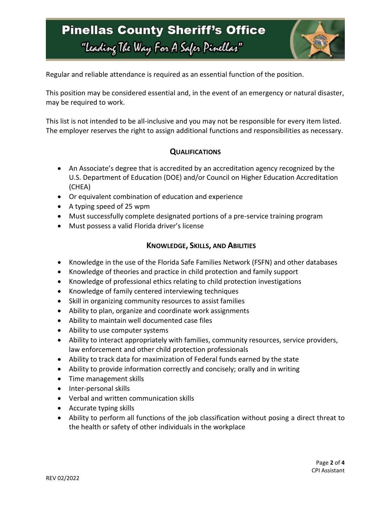## **Pinellas County Sheriff's Office** "Leading The Way For A Safer Pinellar"



Regular and reliable attendance is required as an essential function of the position.

This position may be considered essential and, in the event of an emergency or natural disaster, may be required to work.

This list is not intended to be all-inclusive and you may not be responsible for every item listed. The employer reserves the right to assign additional functions and responsibilities as necessary.

#### **QUALIFICATIONS**

- An Associate's degree that is accredited by an accreditation agency recognized by the U.S. Department of Education (DOE) and/or Council on Higher Education Accreditation (CHEA)
- Or equivalent combination of education and experience
- A typing speed of 25 wpm
- Must successfully complete designated portions of a pre-service training program
- Must possess a valid Florida driver's license

#### **KNOWLEDGE, SKILLS, AND ABILITIES**

- Knowledge in the use of the Florida Safe Families Network (FSFN) and other databases
- Knowledge of theories and practice in child protection and family support
- Knowledge of professional ethics relating to child protection investigations
- Knowledge of family centered interviewing techniques
- Skill in organizing community resources to assist families
- Ability to plan, organize and coordinate work assignments
- Ability to maintain well documented case files
- Ability to use computer systems
- Ability to interact appropriately with families, community resources, service providers, law enforcement and other child protection professionals
- Ability to track data for maximization of Federal funds earned by the state
- Ability to provide information correctly and concisely; orally and in writing
- Time management skills
- Inter-personal skills
- Verbal and written communication skills
- Accurate typing skills
- Ability to perform all functions of the job classification without posing a direct threat to the health or safety of other individuals in the workplace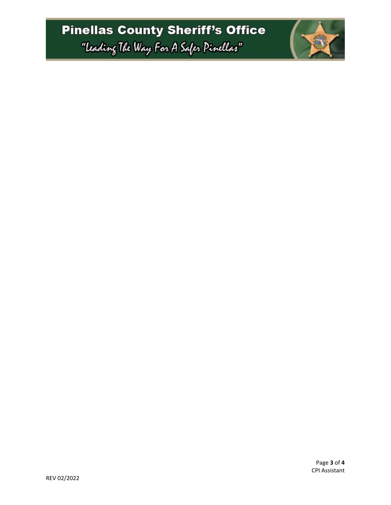# **Pinellas County Sheriff's Office** "Leading The Way For A Safer Pinellas"